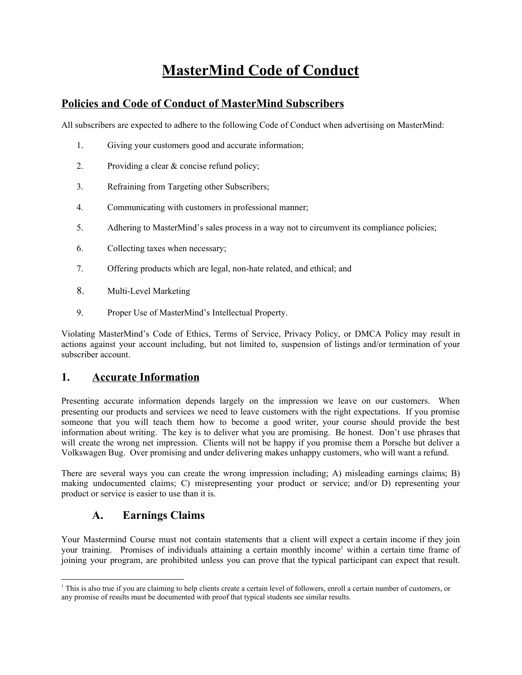# **MasterMind Code of Conduct**

## **Policies and Code of Conduct of MasterMind Subscribers**

All subscribers are expected to adhere to the following Code of Conduct when advertising on MasterMind:

- 1. Giving your customers good and accurate information;
- 2. Providing a clear & concise refund policy;
- 3. Refraining from Targeting other Subscribers;
- 4. Communicating with customers in professional manner;
- 5. Adhering to MasterMind's sales process in a way not to circumvent its compliance policies;
- 6. Collecting taxes when necessary;
- 7. Offering products which are legal, non-hate related, and ethical; and
- 8. Multi-Level Marketing
- 9. Proper Use of MasterMind's Intellectual Property.

Violating MasterMind's Code of Ethics, Terms of Service, Privacy Policy, or DMCA Policy may result in actions against your account including, but not limited to, suspension of listings and/or termination of your subscriber account.

#### **1. Accurate Information**

Presenting accurate information depends largely on the impression we leave on our customers. When presenting our products and services we need to leave customers with the right expectations. If you promise someone that you will teach them how to become a good writer, your course should provide the best information about writing. The key is to deliver what you are promising. Be honest. Don't use phrases that will create the wrong net impression. Clients will not be happy if you promise them a Porsche but deliver a Volkswagen Bug. Over promising and under delivering makes unhappy customers, who will want a refund.

There are several ways you can create the wrong impression including; A) misleading earnings claims; B) making undocumented claims; C) misrepresenting your product or service; and/or D) representing your product or service is easier to use than it is.

## **A. Earnings Claims**

Your Mastermind Course must not contain statements that a client will expect a certain income if they join your training. Promises of individuals attaining a certain monthly income<sup>1</sup> within a certain time frame of joining your program, are prohibited unless you can prove that the typical participant can expect that result.

<sup>&</sup>lt;sup>1</sup> This is also true if you are claiming to help clients create a certain level of followers, enroll a certain number of customers, or any promise of results must be documented with proof that typical students see similar results.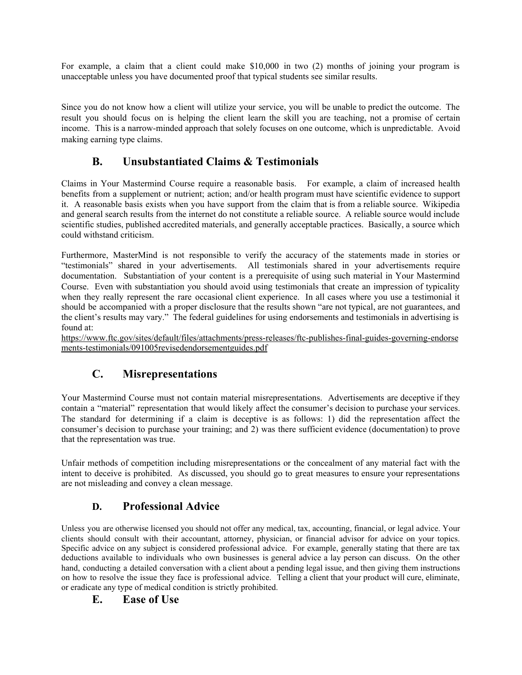For example, a claim that a client could make \$10,000 in two (2) months of joining your program is unacceptable unless you have documented proof that typical students see similar results.

Since you do not know how a client will utilize your service, you will be unable to predict the outcome. The result you should focus on is helping the client learn the skill you are teaching, not a promise of certain income. This is a narrow-minded approach that solely focuses on one outcome, which is unpredictable. Avoid making earning type claims.

## **B. Unsubstantiated Claims & Testimonials**

Claims in Your Mastermind Course require a reasonable basis. For example, a claim of increased health benefits from a supplement or nutrient; action; and/or health program must have scientific evidence to support it. A reasonable basis exists when you have support from the claim that is from a reliable source. Wikipedia and general search results from the internet do not constitute a reliable source. A reliable source would include scientific studies, published accredited materials, and generally acceptable practices. Basically, a source which could withstand criticism.

Furthermore, MasterMind is not responsible to verify the accuracy of the statements made in stories or "testimonials" shared in your advertisements. All testimonials shared in your advertisements require documentation. Substantiation of your content is a prerequisite of using such material in Your Mastermind Course. Even with substantiation you should avoid using testimonials that create an impression of typicality when they really represent the rare occasional client experience. In all cases where you use a testimonial it should be accompanied with a proper disclosure that the results shown "are not typical, are not guarantees, and the client's results may vary." The federal guidelines for using endorsements and testimonials in advertising is found at:

[https://www.ftc.gov/sites/default/files/attachments/press-releases/ftc-publishes-final-guides-governing-endorse](https://www.ftc.gov/sites/default/files/attachments/press-releases/ftc-publishes-final-guides-governing-endorsements-testimonials/091005revisedendorsementguides.pdf) [ments-testimonials/091005revisedendorsementguides.pdf](https://www.ftc.gov/sites/default/files/attachments/press-releases/ftc-publishes-final-guides-governing-endorsements-testimonials/091005revisedendorsementguides.pdf)

# **C. Misrepresentations**

Your Mastermind Course must not contain material misrepresentations. Advertisements are deceptive if they contain a "material" representation that would likely affect the consumer's decision to purchase your services. The standard for determining if a claim is deceptive is as follows: 1) did the representation affect the consumer's decision to purchase your training; and 2) was there sufficient evidence (documentation) to prove that the representation was true.

Unfair methods of competition including misrepresentations or the concealment of any material fact with the intent to deceive is prohibited. As discussed, you should go to great measures to ensure your representations are not misleading and convey a clean message.

## **D. Professional Advice**

Unless you are otherwise licensed you should not offer any medical, tax, accounting, financial, or legal advice. Your clients should consult with their accountant, attorney, physician, or financial advisor for advice on your topics. Specific advice on any subject is considered professional advice. For example, generally stating that there are tax deductions available to individuals who own businesses is general advice a lay person can discuss. On the other hand, conducting a detailed conversation with a client about a pending legal issue, and then giving them instructions on how to resolve the issue they face is professional advice. Telling a client that your product will cure, eliminate, or eradicate any type of medical condition is strictly prohibited.

#### **E. Ease of Use**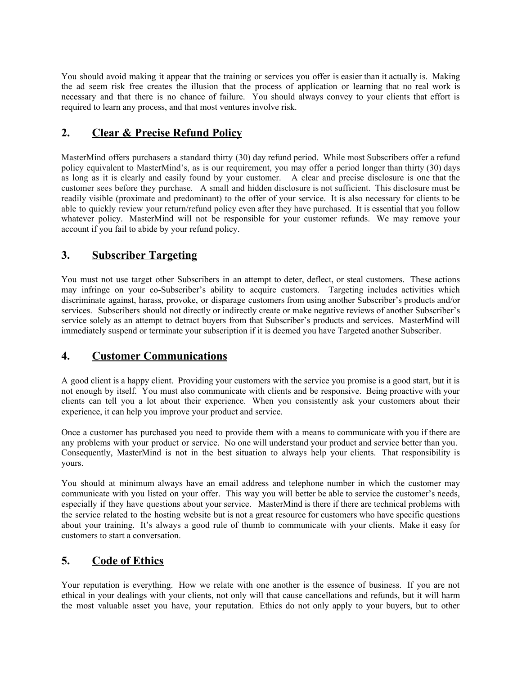You should avoid making it appear that the training or services you offer is easier than it actually is. Making the ad seem risk free creates the illusion that the process of application or learning that no real work is necessary and that there is no chance of failure. You should always convey to your clients that effort is required to learn any process, and that most ventures involve risk.

## **2. Clear & Precise Refund Policy**

MasterMind offers purchasers a standard thirty (30) day refund period. While most Subscribers offer a refund policy equivalent to MasterMind's, as is our requirement, you may offer a period longer than thirty (30) days as long as it is clearly and easily found by your customer. A clear and precise disclosure is one that the customer sees before they purchase. A small and hidden disclosure is not sufficient. This disclosure must be readily visible (proximate and predominant) to the offer of your service. It is also necessary for clients to be able to quickly review your return/refund policy even after they have purchased. It is essential that you follow whatever policy. MasterMind will not be responsible for your customer refunds. We may remove your account if you fail to abide by your refund policy.

## **3. Subscriber Targeting**

You must not use target other Subscribers in an attempt to deter, deflect, or steal customers. These actions may infringe on your co-Subscriber's ability to acquire customers. Targeting includes activities which discriminate against, harass, provoke, or disparage customers from using another Subscriber's products and/or services. Subscribers should not directly or indirectly create or make negative reviews of another Subscriber's service solely as an attempt to detract buyers from that Subscriber's products and services. MasterMind will immediately suspend or terminate your subscription if it is deemed you have Targeted another Subscriber.

## **4. Customer Communications**

A good client is a happy client. Providing your customers with the service you promise is a good start, but it is not enough by itself. You must also communicate with clients and be responsive. Being proactive with your clients can tell you a lot about their experience. When you consistently ask your customers about their experience, it can help you improve your product and service.

Once a customer has purchased you need to provide them with a means to communicate with you if there are any problems with your product or service. No one will understand your product and service better than you. Consequently, MasterMind is not in the best situation to always help your clients. That responsibility is yours.

You should at minimum always have an email address and telephone number in which the customer may communicate with you listed on your offer. This way you will better be able to service the customer's needs, especially if they have questions about your service. MasterMind is there if there are technical problems with the service related to the hosting website but is not a great resource for customers who have specific questions about your training. It's always a good rule of thumb to communicate with your clients. Make it easy for customers to start a conversation.

# **5. Code of Ethics**

Your reputation is everything. How we relate with one another is the essence of business. If you are not ethical in your dealings with your clients, not only will that cause cancellations and refunds, but it will harm the most valuable asset you have, your reputation. Ethics do not only apply to your buyers, but to other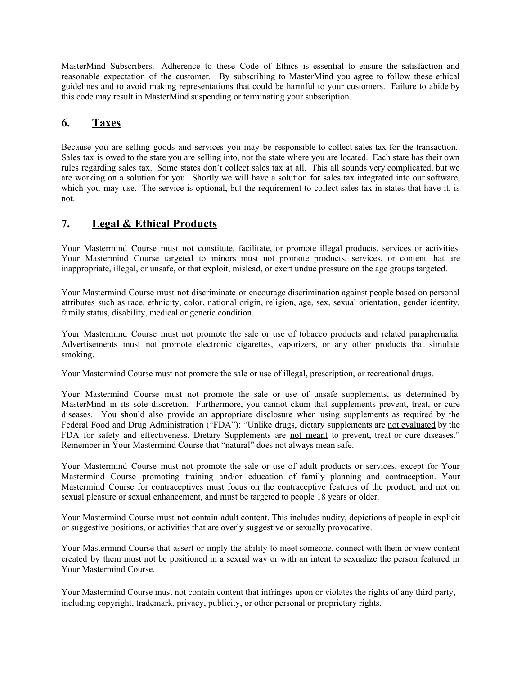MasterMind Subscribers. Adherence to these Code of Ethics is essential to ensure the satisfaction and reasonable expectation of the customer. By subscribing to MasterMind you agree to follow these ethical guidelines and to avoid making representations that could be harmful to your customers. Failure to abide by this code may result in MasterMind suspending or terminating your subscription.

#### **6. Taxes**

Because you are selling goods and services you may be responsible to collect sales tax for the transaction. Sales tax is owed to the state you are selling into, not the state where you are located. Each state has their own rules regarding sales tax. Some states don't collect sales tax at all. This all sounds very complicated, but we are working on a solution for you. Shortly we will have a solution for sales tax integrated into our software, which you may use. The service is optional, but the requirement to collect sales tax in states that have it, is not.

## **7. Legal & Ethical Products**

Your Mastermind Course must not constitute, facilitate, or promote illegal products, services or activities. Your Mastermind Course targeted to minors must not promote products, services, or content that are inappropriate, illegal, or unsafe, or that exploit, mislead, or exert undue pressure on the age groups targeted.

Your Mastermind Course must not discriminate or encourage discrimination against people based on personal attributes such as race, ethnicity, color, national origin, religion, age, sex, sexual orientation, gender identity, family status, disability, medical or genetic condition.

Your Mastermind Course must not promote the sale or use of tobacco products and related paraphernalia. Advertisements must not promote electronic cigarettes, vaporizers, or any other products that simulate smoking.

Your Mastermind Course must not promote the sale or use of illegal, prescription, or recreational drugs.

Your Mastermind Course must not promote the sale or use of unsafe supplements, as determined by MasterMind in its sole discretion. Furthermore, you cannot claim that supplements prevent, treat, or cure diseases. You should also provide an appropriate disclosure when using supplements as required by the Federal Food and Drug Administration ("FDA"): "Unlike drugs, dietary supplements are not evaluated by the FDA for safety and effectiveness. Dietary Supplements are not meant to prevent, treat or cure diseases." Remember in Your Mastermind Course that "natural" does not always mean safe.

Your Mastermind Course must not promote the sale or use of adult products or services, except for Your Mastermind Course promoting training and/or education of family planning and contraception. Your Mastermind Course for contraceptives must focus on the contraceptive features of the product, and not on sexual pleasure or sexual enhancement, and must be targeted to people 18 years or older.

Your Mastermind Course must not contain adult content. This includes nudity, depictions of people in explicit or suggestive positions, or activities that are overly suggestive or sexually provocative.

Your Mastermind Course that assert or imply the ability to meet someone, connect with them or view content created by them must not be positioned in a sexual way or with an intent to sexualize the person featured in Your Mastermind Course.

Your Mastermind Course must not contain content that infringes upon or violates the rights of any third party, including copyright, trademark, privacy, publicity, or other personal or proprietary rights.